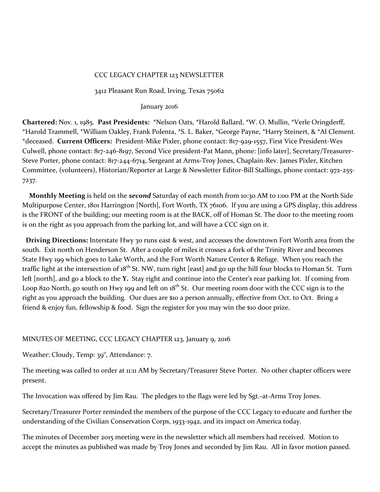#### CCC LEGACY CHAPTER 123 NEWSLETTER

3412 Pleasant Run Road, Irving, Texas 75062

#### January 2016

**Chartered:** Nov. 1, 1985. **Past Presidents:** \*Nelson Oats, \*Harold Ballard, \*W. O. Mullin, \*Verle Oringderff, \*Harold Trammell, \*William Oakley, Frank Polenta, \*S. L. Baker, \*George Payne, \*Harry Steinert, & \*Al Clement. \*deceased. **Current Officers:** President-Mike Pixler, phone contact: 817-929-1557, First Vice President-Wes Culwell, phone contact: 817-246-8197, Second Vice president-Pat Mann, phone: [info later], Secretary/Treasurer-Steve Porter, phone contact: 817-244-6714, Sergeant at Arms-Troy Jones, Chaplain-Rev. James Pixler, Kitchen Committee, (volunteers), Historian/Reporter at Large & Newsletter Editor-Bill Stallings, phone contact: 972-255- 7237.

 **Monthly Meeting** is held on the *second* Saturday of each month from 10:30 AM to 1:00 PM at the North Side Multipurpose Center, 1801 Harrington [North], Fort Worth, TX 76106. If you are using a GPS display, this address is the FRONT of the building; our meeting room is at the BACK, off of Homan St. The door to the meeting room is on the right as you approach from the parking lot, and will have a CCC sign on it.

 **Driving Directions:** Interstate Hwy 30 runs east & west, and accesses the downtown Fort Worth area from the south. Exit north on Henderson St. After a couple of miles it crosses a fork of the Trinity River and becomes State Hwy 199 which goes to Lake Worth, and the Fort Worth Nature Center & Refuge. When you reach the traffic light at the intersection of 18<sup>th</sup> St. NW, turn right [east] and go up the hill four blocks to Homan St. Turn left [north], and go a block to the **Y.** Stay right and continue into the Center's rear parking lot. If coming from Loop 820 North, go south on Hwy 199 and left on  $18^{th}$  St. Our meeting room door with the CCC sign is to the right as you approach the building. Our dues are \$10 a person annually, effective from Oct. to Oct. Bring a friend & enjoy fun, fellowship & food. Sign the register for you may win the \$10 door prize.

#### MINUTES OF MEETING, CCC LEGACY CHAPTER 123, January 9, 2016

Weather: Cloudy, Temp: 39°, Attendance: 7.

The meeting was called to order at 11:11 AM by Secretary/Treasurer Steve Porter. No other chapter officers were present.

The Invocation was offered by Jim Rau. The pledges to the flags were led by Sgt.-at-Arms Troy Jones.

Secretary/Treasurer Porter reminded the members of the purpose of the CCC Legacy to educate and further the understanding of the Civilian Conservation Corps, 1933-1942, and its impact on America today.

The minutes of December 2015 meeting were in the newsletter which all members had received. Motion to accept the minutes as published was made by Troy Jones and seconded by Jim Rau. All in favor motion passed.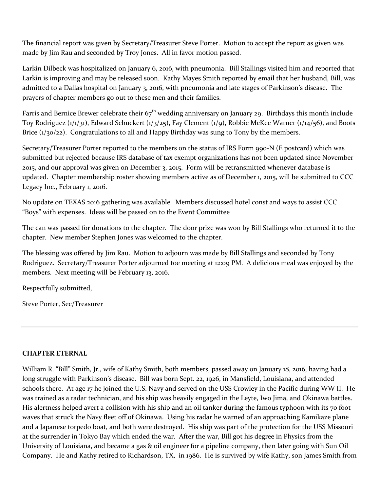The financial report was given by Secretary/Treasurer Steve Porter. Motion to accept the report as given was made by Jim Rau and seconded by Troy Jones. All in favor motion passed.

Larkin Dilbeck was hospitalized on January 6, 2016, with pneumonia. Bill Stallings visited him and reported that Larkin is improving and may be released soon. Kathy Mayes Smith reported by email that her husband, Bill, was admitted to a Dallas hospital on January 3, 2016, with pneumonia and late stages of Parkinson's disease. The prayers of chapter members go out to these men and their families.

Farris and Bernice Brewer celebrate their  $67<sup>th</sup>$  wedding anniversary on January 29. Birthdays this month include Toy Rodriguez (1/1/31), Edward Schuckert (1/3/25), Fay Clement (1/9), Robbie McKee Warner (1/14/56), and Boots Brice (1/30/22). Congratulations to all and Happy Birthday was sung to Tony by the members.

Secretary/Treasurer Porter reported to the members on the status of IRS Form 990-N (E postcard) which was submitted but rejected because IRS database of tax exempt organizations has not been updated since November 2015, and our approval was given on December 3, 2015. Form will be retransmitted whenever database is updated. Chapter membership roster showing members active as of December 1, 2015, will be submitted to CCC Legacy Inc., February 1, 2016.

No update on TEXAS 2016 gathering was available. Members discussed hotel const and ways to assist CCC "Boys" with expenses. Ideas will be passed on to the Event Committee

The can was passed for donations to the chapter. The door prize was won by Bill Stallings who returned it to the chapter. New member Stephen Jones was welcomed to the chapter.

The blessing was offered by Jim Rau. Motion to adjourn was made by Bill Stallings and seconded by Tony Rodriguez. Secretary/Treasurer Porter adjourned toe meeting at 12:09 PM. A delicious meal was enjoyed by the members. Next meeting will be February 13, 2016.

Respectfully submitted,

Steve Porter, Sec/Treasurer

## **CHAPTER ETERNAL**

William R. "Bill" Smith, Jr., wife of Kathy Smith, both members, passed away on January 18, 2016, having had a long struggle with Parkinson's disease. Bill was born Sept. 22, 1926, in Mansfield, Louisiana, and attended schools there. At age 17 he joined the U.S. Navy and served on the USS Crowley in the Pacific during WW II. He was trained as a radar technician, and his ship was heavily engaged in the Leyte, Iwo Jima, and Okinawa battles. His alertness helped avert a collision with his ship and an oil tanker during the famous typhoon with its 70 foot waves that struck the Navy fleet off of Okinawa. Using his radar he warned of an approaching Kamikaze plane and a Japanese torpedo boat, and both were destroyed. His ship was part of the protection for the USS Missouri at the surrender in Tokyo Bay which ended the war. After the war, Bill got his degree in Physics from the University of Louisiana, and became a gas & oil engineer for a pipeline company, then later going with Sun Oil Company. He and Kathy retired to Richardson, TX, in 1986. He is survived by wife Kathy, son James Smith from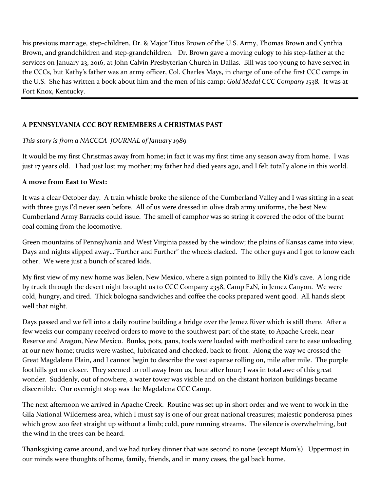his previous marriage, step-children, Dr. & Major Titus Brown of the U.S. Army, Thomas Brown and Cynthia Brown, and grandchildren and step-grandchildren. Dr. Brown gave a moving eulogy to his step-father at the services on January 23, 2016, at John Calvin Presbyterian Church in Dallas. Bill was too young to have served in the CCCs, but Kathy's father was an army officer, Col. Charles Mays, in charge of one of the first CCC camps in the U.S. She has written a book about him and the men of his camp: *Gold Medal CCC Company 1538.* It was at Fort Knox, Kentucky.

# **A PENNSYLVANIA CCC BOY REMEMBERS A CHRISTMAS PAST**

## *This story is from a NACCCA JOURNAL of January 1989*

It would be my first Christmas away from home; in fact it was my first time any season away from home. I was just 17 years old. I had just lost my mother; my father had died years ago, and I felt totally alone in this world.

## **A move from East to West:**

It was a clear October day. A train whistle broke the silence of the Cumberland Valley and I was sitting in a seat with three guys I'd never seen before. All of us were dressed in olive drab army uniforms, the best New Cumberland Army Barracks could issue. The smell of camphor was so string it covered the odor of the burnt coal coming from the locomotive.

Green mountains of Pennsylvania and West Virginia passed by the window; the plains of Kansas came into view. Days and nights slipped away…"Further and Further" the wheels clacked. The other guys and I got to know each other. We were just a bunch of scared kids.

My first view of my new home was Belen, New Mexico, where a sign pointed to Billy the Kid's cave. A long ride by truck through the desert night brought us to CCC Company 2358, Camp F2N, in Jemez Canyon. We were cold, hungry, and tired. Thick bologna sandwiches and coffee the cooks prepared went good. All hands slept well that night.

Days passed and we fell into a daily routine building a bridge over the Jemez River which is still there. After a few weeks our company received orders to move to the southwest part of the state, to Apache Creek, near Reserve and Aragon, New Mexico. Bunks, pots, pans, tools were loaded with methodical care to ease unloading at our new home; trucks were washed, lubricated and checked, back to front. Along the way we crossed the Great Magdalena Plain, and I cannot begin to describe the vast expanse rolling on, mile after mile. The purple foothills got no closer. They seemed to roll away from us, hour after hour; I was in total awe of this great wonder. Suddenly, out of nowhere, a water tower was visible and on the distant horizon buildings became discernible. Our overnight stop was the Magdalena CCC Camp.

The next afternoon we arrived in Apache Creek. Routine was set up in short order and we went to work in the Gila National Wilderness area, which I must say is one of our great national treasures; majestic ponderosa pines which grow 200 feet straight up without a limb; cold, pure running streams. The silence is overwhelming, but the wind in the trees can be heard.

Thanksgiving came around, and we had turkey dinner that was second to none (except Mom's). Uppermost in our minds were thoughts of home, family, friends, and in many cases, the gal back home.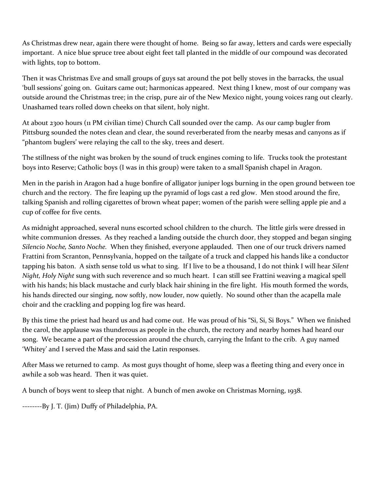As Christmas drew near, again there were thought of home. Being so far away, letters and cards were especially important. A nice blue spruce tree about eight feet tall planted in the middle of our compound was decorated with lights, top to bottom.

Then it was Christmas Eve and small groups of guys sat around the pot belly stoves in the barracks, the usual 'bull sessions' going on. Guitars came out; harmonicas appeared. Next thing I knew, most of our company was outside around the Christmas tree; in the crisp, pure air of the New Mexico night, young voices rang out clearly. Unashamed tears rolled down cheeks on that silent, holy night.

At about 2300 hours (11 PM civilian time) Church Call sounded over the camp. As our camp bugler from Pittsburg sounded the notes clean and clear, the sound reverberated from the nearby mesas and canyons as if "phantom buglers' were relaying the call to the sky, trees and desert.

The stillness of the night was broken by the sound of truck engines coming to life. Trucks took the protestant boys into Reserve; Catholic boys (I was in this group) were taken to a small Spanish chapel in Aragon.

Men in the parish in Aragon had a huge bonfire of alligator juniper logs burning in the open ground between toe church and the rectory. The fire leaping up the pyramid of logs cast a red glow. Men stood around the fire, talking Spanish and rolling cigarettes of brown wheat paper; women of the parish were selling apple pie and a cup of coffee for five cents.

As midnight approached, several nuns escorted school children to the church. The little girls were dressed in white communion dresses. As they reached a landing outside the church door, they stopped and began singing *Silencio Noche, Santo Noche.* When they finished, everyone applauded. Then one of our truck drivers named Frattini from Scranton, Pennsylvania, hopped on the tailgate of a truck and clapped his hands like a conductor tapping his baton. A sixth sense told us what to sing. If I live to be a thousand, I do not think I will hear *Silent Night, Holy Night* sung with such reverence and so much heart. I can still see Frattini weaving a magical spell with his hands; his black mustache and curly black hair shining in the fire light. His mouth formed the words, his hands directed our singing, now softly, now louder, now quietly. No sound other than the acapella male choir and the crackling and popping log fire was heard.

By this time the priest had heard us and had come out. He was proud of his "Si, Si, Si Boys." When we finished the carol, the applause was thunderous as people in the church, the rectory and nearby homes had heard our song. We became a part of the procession around the church, carrying the Infant to the crib. A guy named 'Whitey' and I served the Mass and said the Latin responses.

After Mass we returned to camp. As most guys thought of home, sleep was a fleeting thing and every once in awhile a sob was heard. Then it was quiet.

A bunch of boys went to sleep that night. A bunch of men awoke on Christmas Morning, 1938.

--------By J. T. (Jim) Duffy of Philadelphia, PA.